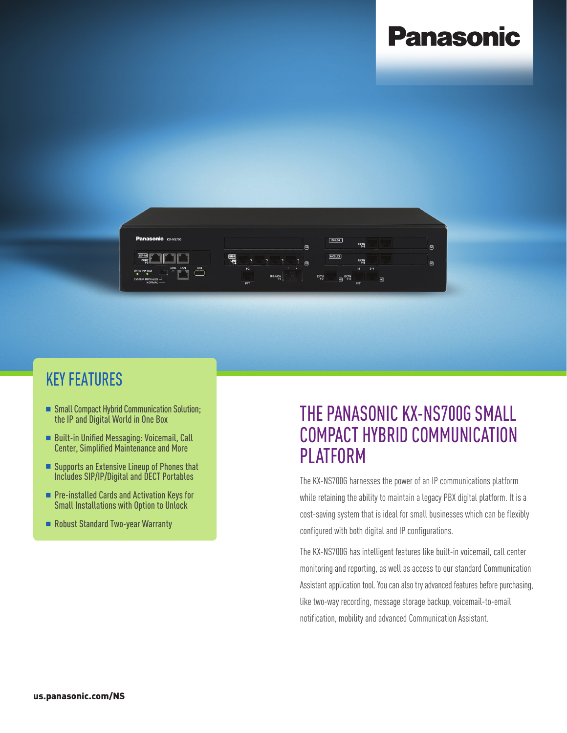## **Panasonic**



### KEY FEATURES

- Small Compact Hybrid Communication Solution; the IP and Digital World in One Box
- Built-in Unified Messaging: Voicemail, Call Center, Simplified Maintenance and More
- $\blacksquare$  Supports an Extensive Lineup of Phones that Includes SIP/IP/Digital and DECT Portables
- Pre-installed Cards and Activation Keys for Small Installations with Option to Unlock
- Robust Standard Two-year Warranty

### THE PANASONIC KX-NS700G SMALL COMPACT HYBRID COMMUNICATION PLATFORM

The KX-NS700G harnesses the power of an IP communications platform while retaining the ability to maintain a legacy PBX digital platform. It is a cost-saving system that is ideal for small businesses which can be flexibly configured with both digital and IP configurations.

The KX-NS700G has intelligent features like built-in voicemail, call center monitoring and reporting, as well as access to our standard Communication Assistant application tool. You can also try advanced features before purchasing, like two-way recording, message storage backup, voicemail-to-email notification, mobility and advanced Communication Assistant.